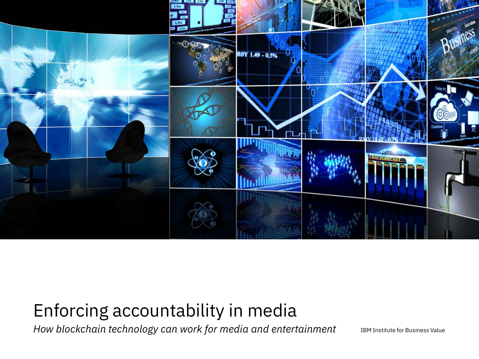

# Enforcing accountability in media

*How blockchain technology can work for media and entertainment*

IBM Institute for Business Value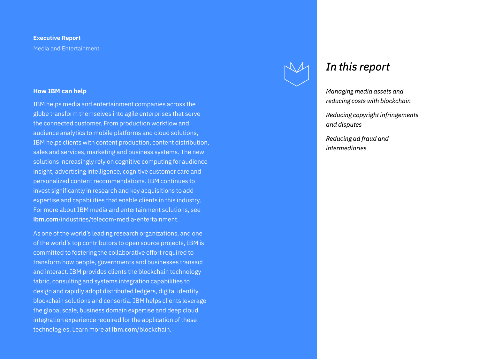#### **Executive Report** Media and Entertainment

#### **How IBM can help**

IBM helps media and entertainment companies across the globe transform themselves into agile enterprises that serve the connected customer. From production workflow and audience analytics to mobile platforms and cloud solutions, IBM helps clients with content production, content distribution, sales and services, marketing and business systems. The new solutions increasingly rely on cognitive computing for audience insight, advertising intelligence, cognitive customer care and personalized content recommendations. IBM continues to invest significantly in research and key acquisitions to add expertise and capabilities that enable clients in this industry. For more about IBM media and entertainment solutions, see **ibm.com**[/industries/telecom-media-entertainment.](http://www.ibm.com/industries/telecom-media-entertainment)

As one of the world's leading research organizations, and one of the world's top contributors to open source projects, IBM is committed to fostering the collaborative effort required to transform how people, governments and businesses transact and interact. IBM provides clients the blockchain technology fabric, consulting and systems integration capabilities to design and rapidly adopt distributed ledgers, digital identity, blockchain solutions and consortia. IBM helps clients leverage the global scale, business domain expertise and deep cloud integration experience required for the application of these technologies. Learn more at **ibm.com**[/blockchain.](http://www.ibm.com/blockchain)



### *In this report*

*Managing media assets and reducing costs with blockchain* 

*Reducing copyright infringements and disputes*

*Reducing ad fraud and intermediaries*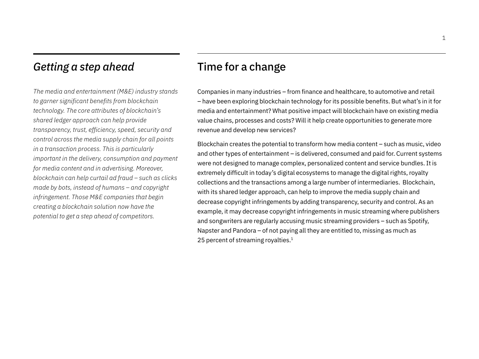## *Getting a step ahead*

*The media and entertainment (M&E) industry stands to garner significant benefits from blockchain technology. The core attributes of blockchain's shared ledger approach can help provide transparency, trust, efficiency, speed, security and control across the media supply chain for all points in a transaction process. This is particularly important in the delivery, consumption and payment for media content and in advertising. Moreover, blockchain can help curtail ad fraud – such as clicks made by bots, instead of humans – and copyright infringement. Those M&E companies that begin creating a blockchain solution now have the potential to get a step ahead of competitors.*

## Time for a change

Companies in many industries – from finance and healthcare, to automotive and retail – have been exploring blockchain technology for its possible benefits. But what's in it for media and entertainment? What positive impact will blockchain have on existing media value chains, processes and costs? Will it help create opportunities to generate more revenue and develop new services?

Blockchain creates the potential to transform how media content – such as music, video and other types of entertainment – is delivered, consumed and paid for. Current systems were not designed to manage complex, personalized content and service bundles. It is extremely difficult in today's digital ecosystems to manage the digital rights, royalty collections and the transactions among a large number of intermediaries. Blockchain, with its shared ledger approach, can help to improve the media supply chain and decrease copyright infringements by adding transparency, security and control. As an example, it may decrease copyright infringements in music streaming where publishers and songwriters are regularly accusing music streaming providers – such as Spotify, Napster and Pandora – of not paying all they are entitled to, missing as much as 25 percent of streaming royalties.<sup>1</sup>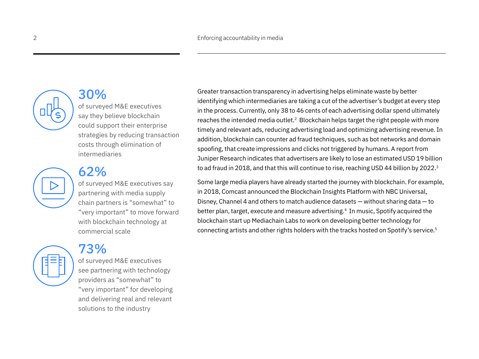

### 30%

of surveyed M&E executives say they believe blockchain could support their enterprise strategies by reducing transaction costs through elimination of intermediaries

## 62%

of surveyed M&E executives say partnering with media supply chain partners is "somewhat" to "very important" to move forward with blockchain technology at commercial scale



## 73%

of surveyed M&E executives see partnering with technology providers as "somewhat" to "very important" for developing and delivering real and relevant solutions to the industry

Greater transaction transparency in advertising helps eliminate waste by better identifying which intermediaries are taking a cut of the advertiser's budget at every step in the process. Currently, only 38 to 46 cents of each advertising dollar spend ultimately reaches the intended media outlet.<sup>2</sup> Blockchain helps target the right people with more timely and relevant ads, reducing advertising load and optimizing advertising revenue. In addition, blockchain can counter ad fraud techniques, such as bot networks and domain spoofing, that create impressions and clicks not triggered by humans. A report from Juniper Research indicates that advertisers are likely to lose an estimated USD 19 billion to ad fraud in 2018, and that this will continue to rise, reaching USD 44 billion by 2022.<sup>3</sup>

Some large media players have already started the journey with blockchain. For example, in 2018, Comcast announced the Blockchain Insights Platform with NBC Universal, Disney, Channel 4 and others to match audience datasets — without sharing data — to better plan, target, execute and measure advertising.4 In music, Spotify acquired the blockchain start up Mediachain Labs to work on developing better technology for connecting artists and other rights holders with the tracks hosted on Spotify's service.5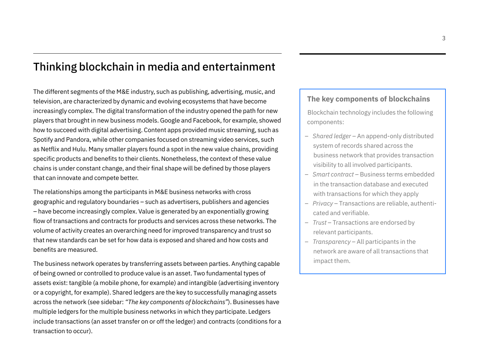## Thinking blockchain in media and entertainment

The different segments of the M&E industry, such as publishing, advertising, music, and television, are characterized by dynamic and evolving ecosystems that have become increasingly complex. The digital transformation of the industry opened the path for new players that brought in new business models. Google and Facebook, for example, showed how to succeed with digital advertising. Content apps provided music streaming, such as Spotify and Pandora, while other companies focused on streaming video services, such as Netflix and Hulu. Many smaller players found a spot in the new value chains, providing specific products and benefits to their clients. Nonetheless, the context of these value chains is under constant change, and their final shape will be defined by those players that can innovate and compete better.

The relationships among the participants in M&E business networks with cross geographic and regulatory boundaries – such as advertisers, publishers and agencies – have become increasingly complex. Value is generated by an exponentially growing flow of transactions and contracts for products and services across these networks. The volume of activity creates an overarching need for improved transparency and trust so that new standards can be set for how data is exposed and shared and how costs and benefits are measured.

The business network operates by transferring assets between parties. Anything capable of being owned or controlled to produce value is an asset. Two fundamental types of assets exist: tangible (a mobile phone, for example) and intangible (advertising inventory or a copyright, for example). Shared ledgers are the key to successfully managing assets across the network (see sidebar: *"The key components of blockchains"*). Businesses have multiple ledgers for the multiple business networks in which they participate. Ledgers include transactions (an asset transfer on or off the ledger) and contracts (conditions for a transaction to occur).

#### **The key components of blockchains**

Blockchain technology includes the following components:

- *Shared ledger* An append-only distributed system of records shared across the business network that provides transaction visibility to all involved participants.
- *Smart contract*  Business terms embedded in the transaction database and executed with transactions for which they apply
- *Privacy* Transactions are reliable, authenticated and verifiable.
- *Trust*  Transactions are endorsed by relevant participants.
- *Transparency* All participants in the network are aware of all transactions that impact them.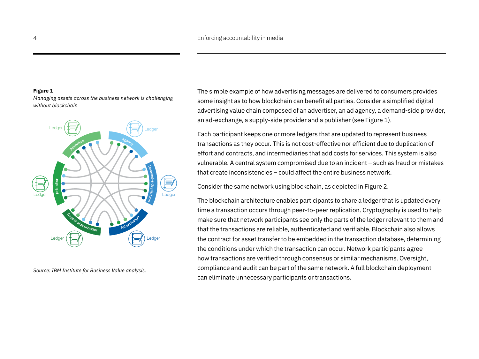#### **Figure 1**

*Managing assets across the business network is challenging without blockchain*



*Source: IBM Institute for Business Value analysis.*

The simple example of how advertising messages are delivered to consumers provides some insight as to how blockchain can benefit all parties. Consider a simplified digital advertising value chain composed of an advertiser, an ad agency, a demand-side provider, an ad-exchange, a supply-side provider and a publisher (see Figure 1).

Each participant keeps one or more ledgers that are updated to represent business transactions as they occur. This is not cost-effective nor efficient due to duplication of effort and contracts, and intermediaries that add costs for services. This system is also vulnerable. A central system compromised due to an incident – such as fraud or mistakes that create inconsistencies – could affect the entire business network.

Consider the same network using blockchain, as depicted in Figure 2.

The blockchain architecture enables participants to share a ledger that is updated every time a transaction occurs through peer-to-peer replication. Cryptography is used to help make sure that network participants see only the parts of the ledger relevant to them and that the transactions are reliable, authenticated and verifiable. Blockchain also allows the contract for asset transfer to be embedded in the transaction database, determining the conditions under which the transaction can occur. Network participants agree how transactions are verified through consensus or similar mechanisms. Oversight, compliance and audit can be part of the same network. A full blockchain deployment can eliminate unnecessary participants or transactions.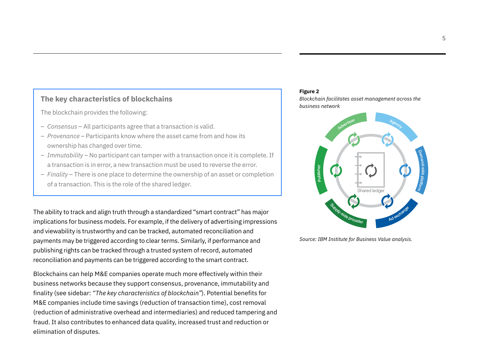#### **The key characteristics of blockchains**

The blockchain provides the following:

- *Consensus*  All participants agree that a transaction is valid.
- *Provenance* Participants know where the asset came from and how its ownership has changed over time.
- *Immutability*  No participant can tamper with a transaction once it is complete. If a transaction is in error, a new transaction must be used to reverse the error.
- *Finality* There is one place to determine the ownership of an asset or completion of a transaction. This is the role of the shared ledger.

The ability to track and align truth through a standardized "smart contract" has major implications for business models. For example, if the delivery of advertising impressions and viewability is trustworthy and can be tracked, automated reconciliation and payments may be triggered according to clear terms. Similarly, if performance and publishing rights can be tracked through a trusted system of record, automated reconciliation and payments can be triggered according to the smart contract.

Blockchains can help M&E companies operate much more effectively within their business networks because they support consensus, provenance, immutability and finality (see sidebar: *"The key characteristics of blockchain"*). Potential benefits for M&E companies include time savings (reduction of transaction time), cost removal (reduction of administrative overhead and intermediaries) and reduced tampering and fraud. It also contributes to enhanced data quality, increased trust and reduction or elimination of disputes.

#### **Figure 2**

*Blockchain facilitates asset management across the business network*



*Source: IBM Institute for Business Value analysis.*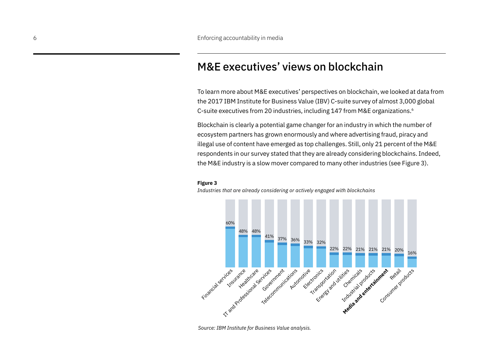## M&E executives' views on blockchain

To learn more about M&E executives' perspectives on blockchain, we looked at data from the 2017 IBM Institute for Business Value (IBV) C-suite survey of almost 3,000 global C-suite executives from 20 industries, including 147 from M&E organizations.6

Blockchain is clearly a potential game changer for an industry in which the number of ecosystem partners has grown enormously and where advertising fraud, piracy and illegal use of content have emerged as top challenges. Still, only 21 percent of the M&E respondents in our survey stated that they are already considering blockchains. Indeed, the M&E industry is a slow mover compared to many other industries (see Figure 3).

#### **Figure 3**

*Industries that are already considering or actively engaged with blockchains* 



*Source: IBM Institute for Business Value analysis.*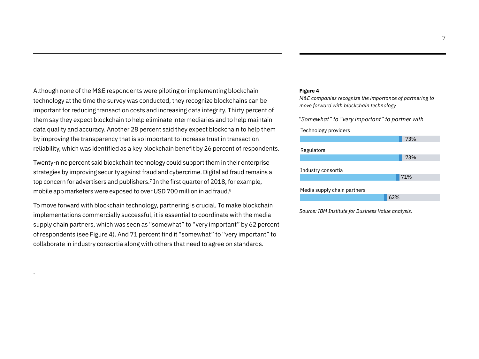Although none of the M&E respondents were piloting or implementing blockchain technology at the time the survey was conducted, they recognize blockchains can be important for reducing transaction costs and increasing data integrity. Thirty percent of them say they expect blockchain to help eliminate intermediaries and to help maintain data quality and accuracy. Another 28 percent said they expect blockchain to help them by improving the transparency that is so important to increase trust in transaction reliability, which was identified as a key blockchain benefit by 26 percent of respondents.

Twenty-nine percent said blockchain technology could support them in their enterprise strategies by improving security against fraud and cybercrime. Digital ad fraud remains a top concern for advertisers and publishers.<sup>7</sup> In the first quarter of 2018, for example, mobile app marketers were exposed to over USD 700 million in ad fraud.<sup>8</sup>

To move forward with blockchain technology, partnering is crucial. To make blockchain implementations commercially successful, it is essential to coordinate with the media supply chain partners, which was seen as "somewhat" to "very important" by 62 percent of respondents (see Figure 4). And 71 percent find it "somewhat" to "very important" to collaborate in industry consortia along with others that need to agree on standards.

.

#### **Figure 4**

*M&E companies recognize the importance of partnering to move forward with blockchain technology* 

*"Somewhat" to "very important" to partner with*

#### Technology providers



*Source: IBM Institute for Business Value analysis.*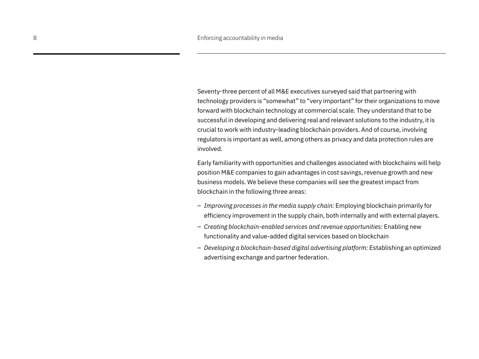Seventy-three percent of all M&E executives surveyed said that partnering with technology providers is "somewhat" to "very important" for their organizations to move forward with blockchain technology at commercial scale. They understand that to be successful in developing and delivering real and relevant solutions to the industry, it is crucial to work with industry-leading blockchain providers. And of course, involving regulators is important as well, among others as privacy and data protection rules are involved.

Early familiarity with opportunities and challenges associated with blockchains will help position M&E companies to gain advantages in cost savings, revenue growth and new business models. We believe these companies will see the greatest impact from blockchain in the following three areas:

- *Improving processes in the media supply chain:* Employing blockchain primarily for efficiency improvement in the supply chain, both internally and with external players.
- *Creating blockchain-enabled services and revenue opportunities:* Enabling new functionality and value-added digital services based on blockchain
- *Developing a blockchain-based digital advertising platform:* Establishing an optimized advertising exchange and partner federation.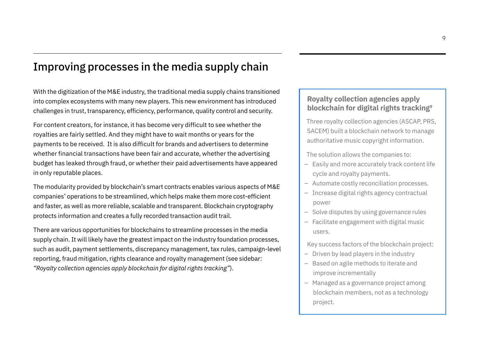## Improving processes in the media supply chain

With the digitization of the M&E industry, the traditional media supply chains transitioned into complex ecosystems with many new players. This new environment has introduced challenges in trust, transparency, efficiency, performance, quality control and security.

For content creators, for instance, it has become very difficult to see whether the royalties are fairly settled. And they might have to wait months or years for the payments to be received. It is also difficult for brands and advertisers to determine whether financial transactions have been fair and accurate, whether the advertising budget has leaked through fraud, or whether their paid advertisements have appeared in only reputable places.

The modularity provided by blockchain's smart contracts enables various aspects of M&E companies' operations to be streamlined, which helps make them more cost-efficient and faster, as well as more reliable, scalable and transparent. Blockchain cryptography protects information and creates a fully recorded transaction audit trail.

There are various opportunities for blockchains to streamline processes in the media supply chain. It will likely have the greatest impact on the industry foundation processes, such as audit, payment settlements, discrepancy management, tax rules, campaign-level reporting, fraud mitigation, rights clearance and royalty management (see sidebar: *"Royalty collection agencies apply blockchain for digital rights tracking"*).

#### **Royalty collection agencies apply blockchain for digital rights tracking9**

Three royalty collection agencies (ASCAP, PRS, SACEM) built a blockchain network to manage authoritative music copyright information.

The solution allows the companies to:

- Easily and more accurately track content life cycle and royalty payments.
- Automate costly reconciliation processes.
- Increase digital rights agency contractual power
- Solve disputes by using governance rules
- Facilitate engagement with digital music users.

Key success factors of the blockchain project:

- Driven by lead players in the industry
- Based on agile methods to iterate and improve incrementally
- Managed as a governance project among blockchain members, not as a technology project.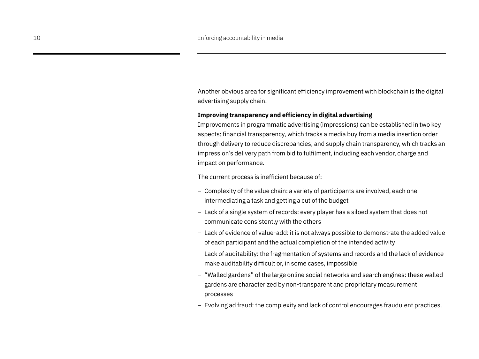Another obvious area for significant efficiency improvement with blockchain is the digital advertising supply chain.

#### **Improving transparency and efficiency in digital advertising**

Improvements in programmatic advertising (impressions) can be established in two key aspects: financial transparency, which tracks a media buy from a media insertion order through delivery to reduce discrepancies; and supply chain transparency, which tracks an impression's delivery path from bid to fulfilment, including each vendor, charge and impact on performance.

The current process is inefficient because of:

- Complexity of the value chain: a variety of participants are involved, each one intermediating a task and getting a cut of the budget
- Lack of a single system of records: every player has a siloed system that does not communicate consistently with the others
- Lack of evidence of value-add: it is not always possible to demonstrate the added value of each participant and the actual completion of the intended activity
- Lack of auditability: the fragmentation of systems and records and the lack of evidence make auditability difficult or, in some cases, impossible
- "Walled gardens" of the large online social networks and search engines: these walled gardens are characterized by non-transparent and proprietary measurement processes
- Evolving ad fraud: the complexity and lack of control encourages fraudulent practices.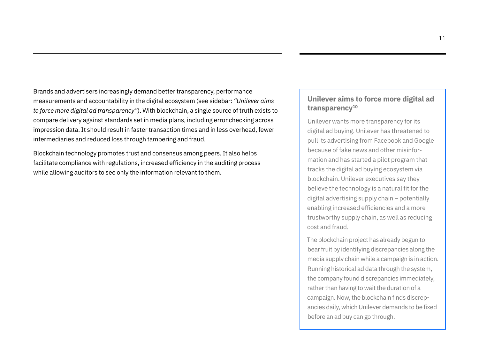Brands and advertisers increasingly demand better transparency, performance measurements and accountability in the digital ecosystem (see sidebar: *"Unilever aims to force more digital ad transparency"*). With blockchain, a single source of truth exists to compare delivery against standards set in media plans, including error checking across impression data. It should result in faster transaction times and in less overhead, fewer intermediaries and reduced loss through tampering and fraud.

Blockchain technology promotes trust and consensus among peers. It also helps facilitate compliance with regulations, increased efficiency in the auditing process while allowing auditors to see only the information relevant to them.

#### **Unilever aims to force more digital ad transparency10**

Unilever wants more transparency for its digital ad buying. Unilever has threatened to pull its advertising from Facebook and Google because of fake news and other misinformation and has started a pilot program that tracks the digital ad buying ecosystem via blockchain. Unilever executives say they believe the technology is a natural fit for the digital advertising supply chain – potentially enabling increased efficiencies and a more trustworthy supply chain, as well as reducing cost and fraud.

The blockchain project has already begun to bear fruit by identifying discrepancies along the media supply chain while a campaign is in action. Running historical ad data through the system, the company found discrepancies immediately, rather than having to wait the duration of a campaign. Now, the blockchain finds discrepancies daily, which Unilever demands to be fixed before an ad buy can go through.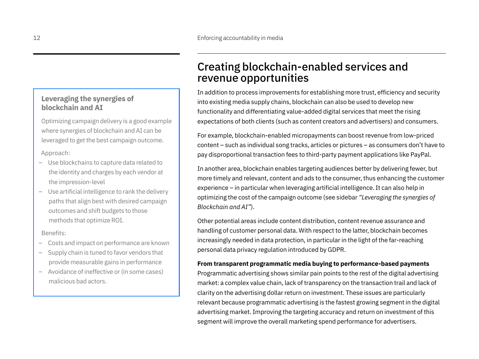#### **Leveraging the synergies of blockchain and AI**

Optimizing campaign delivery is a good example where synergies of blockchain and AI can be leveraged to get the best campaign outcome.

Approach:

- Use blockchains to capture data related to the identity and charges by each vendor at the impression-level
- Use artificial intelligence to rank the delivery paths that align best with desired campaign outcomes and shift budgets to those methods that optimize ROI.

Benefits:

- Costs and impact on performance are known
- Supply chain is tuned to favor vendors that provide measurable gains in performance
- Avoidance of ineffective or (in some cases) malicious bad actors.

## Creating blockchain-enabled services and revenue opportunities

In addition to process improvements for establishing more trust, efficiency and security into existing media supply chains, blockchain can also be used to develop new functionality and differentiating value-added digital services that meet the rising expectations of both clients (such as content creators and advertisers) and consumers.

For example, blockchain-enabled micropayments can boost revenue from low-priced content – such as individual song tracks, articles or pictures – as consumers don't have to pay disproportional transaction fees to third-party payment applications like PayPal.

In another area, blockchain enables targeting audiences better by delivering fewer, but more timely and relevant, content and ads to the consumer, thus enhancing the customer experience – in particular when leveraging artificial intelligence. It can also help in optimizing the cost of the campaign outcome (see sidebar *"Leveraging the synergies of Blockchain and AI"*).

Other potential areas include content distribution, content revenue assurance and handling of customer personal data. With respect to the latter, blockchain becomes increasingly needed in data protection, in particular in the light of the far-reaching personal data privacy regulation introduced by GDPR.

#### **From transparent programmatic media buying to performance-based payments**

Programmatic advertising shows similar pain points to the rest of the digital advertising market: a complex value chain, lack of transparency on the transaction trail and lack of clarity on the advertising dollar return on investment. These issues are particularly relevant because programmatic advertising is the fastest growing segment in the digital advertising market. Improving the targeting accuracy and return on investment of this segment will improve the overall marketing spend performance for advertisers.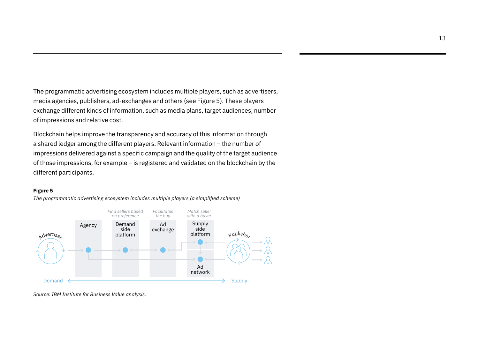The programmatic advertising ecosystem includes multiple players, such as advertisers, media agencies, publishers, ad-exchanges and others (see Figure 5). These players exchange different kinds of information, such as media plans, target audiences, number of impressions and relative cost.

Blockchain helps improve the transparency and accuracy of this information through a shared ledger among the different players. Relevant information – the number of impressions delivered against a specific campaign and the quality of the target audience of those impressions, for example – is registered and validated on the blockchain by the different participants.

#### **Figure 5**



*The programmatic advertising ecosystem includes multiple players (a simplified scheme)*

*Source: IBM Institute for Business Value analysis.*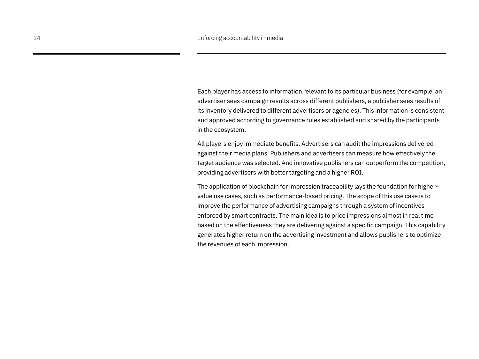Each player has access to information relevant to its particular business (for example, an advertiser sees campaign results across different publishers, a publisher sees results of its inventory delivered to different advertisers or agencies). This information is consistent and approved according to governance rules established and shared by the participants in the ecosystem.

All players enjoy immediate benefits. Advertisers can audit the impressions delivered against their media plans. Publishers and advertisers can measure how effectively the target audience was selected. And innovative publishers can outperform the competition, providing advertisers with better targeting and a higher ROI.

The application of blockchain for impression traceability lays the foundation for highervalue use cases, such as performance-based pricing. The scope of this use case is to improve the performance of advertising campaigns through a system of incentives enforced by smart contracts. The main idea is to price impressions almost in real time based on the effectiveness they are delivering against a specific campaign. This capability generates higher return on the advertising investment and allows publishers to optimize the revenues of each impression.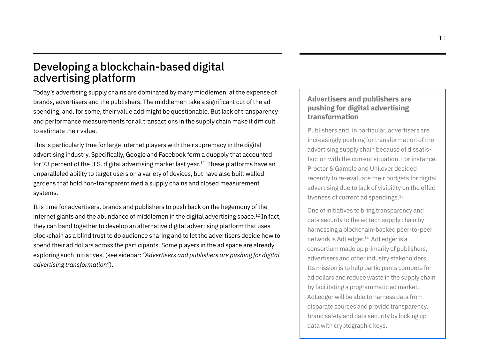## Developing a blockchain-based digital advertising platform

Today's advertising supply chains are dominated by many middlemen, at the expense of brands, advertisers and the publishers. The middlemen take a significant cut of the ad spending, and, for some, their value add might be questionable. But lack of transparency and performance measurements for all transactions in the supply chain make it difficult to estimate their value.

This is particularly true for large internet players with their supremacy in the digital advertising industry. Specifically, Google and Facebook form a duopoly that accounted for 73 percent of the U.S. digital advertising market last year.<sup>11</sup> These platforms have an unparalleled ability to target users on a variety of devices, but have also built walled gardens that hold non-transparent media supply chains and closed measurement systems.

It is time for advertisers, brands and publishers to push back on the hegemony of the internet giants and the abundance of middlemen in the digital advertising space.<sup>12</sup> In fact, they can band together to develop an alternative digital advertising platform that uses blockchain as a blind trust to do audience sharing and to let the advertisers decide how to spend their ad dollars across the participants. Some players in the ad space are already exploring such initiatives. (see sidebar: *"Advertisers and publishers are pushing for digital advertising transformation"*).

#### **Advertisers and publishers are pushing for digital advertising transformation**

Publishers and, in particular, advertisers are increasingly pushing for transformation of the advertising supply chain because of dissatisfaction with the current situation. For instance, Procter & Gamble and Unilever decided recently to re-evaluate their budgets for digital advertising due to lack of visibility on the effectiveness of current ad spendings.<sup>13</sup>

One of initiatives to bring transparency and data security to the ad tech supply chain by harnessing a blockchain-backed peer-to-peer network is AdLedger.14 AdLedger is a consortium made up primarily of publishers, advertisers and other industry stakeholders. Its mission is to help participants compete for ad dollars and reduce waste in the supply chain by facilitating a programmatic ad market. AdLedger will be able to harness data from disparate sources and provide transparency, brand safety and data security by locking up data with cryptographic keys.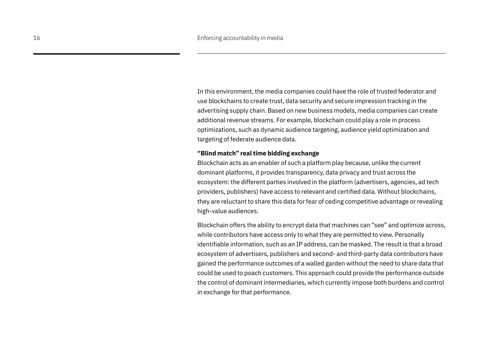In this environment, the media companies could have the role of trusted federator and use blockchains to create trust, data security and secure impression tracking in the advertising supply chain. Based on new business models, media companies can create additional revenue streams. For example, blockchain could play a role in process optimizations, such as dynamic audience targeting, audience yield optimization and targeting of federate audience data.

#### **"Blind match" real time bidding exchange**

Blockchain acts as an enabler of such a platform play because, unlike the current dominant platforms, it provides transparency, data privacy and trust across the ecosystem: the different parties involved in the platform (advertisers, agencies, ad tech providers, publishers) have access to relevant and certified data. Without blockchains, they are reluctant to share this data for fear of ceding competitive advantage or revealing high-value audiences.

Blockchain offers the ability to encrypt data that machines can "see" and optimize across, while contributors have access only to what they are permitted to view. Personally identifiable information, such as an IP address, can be masked. The result is that a broad ecosystem of advertisers, publishers and second- and third-party data contributors have gained the performance outcomes of a walled garden without the need to share data that could be used to poach customers. This approach could provide the performance outside the control of dominant intermediaries, which currently impose both burdens and control in exchange for that performance.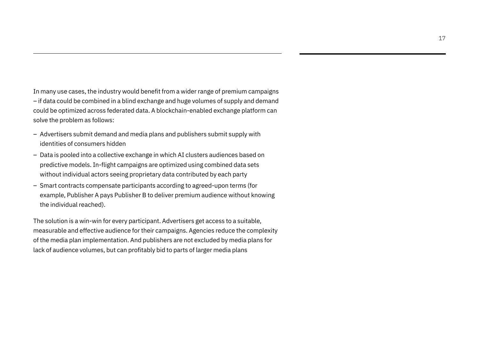In many use cases, the industry would benefit from a wider range of premium campaigns – if data could be combined in a blind exchange and huge volumes of supply and demand could be optimized across federated data. A blockchain-enabled exchange platform can solve the problem as follows:

- Advertisers submit demand and media plans and publishers submit supply with identities of consumers hidden
- Data is pooled into a collective exchange in which AI clusters audiences based on predictive models. In-flight campaigns are optimized using combined data sets without individual actors seeing proprietary data contributed by each party
- Smart contracts compensate participants according to agreed-upon terms (for example, Publisher A pays Publisher B to deliver premium audience without knowing the individual reached).

The solution is a win-win for every participant. Advertisers get access to a suitable, measurable and effective audience for their campaigns. Agencies reduce the complexity of the media plan implementation. And publishers are not excluded by media plans for lack of audience volumes, but can profitably bid to parts of larger media plans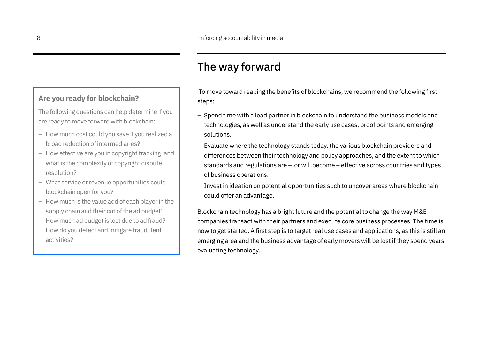## The way forward

#### **Are you ready for blockchain?**

The following questions can help determine if you are ready to move forward with blockchain:

- How much cost could you save if you realized a broad reduction of intermediaries?
- How effective are you in copyright tracking, and what is the complexity of copyright dispute resolution?
- What service or revenue opportunities could blockchain open for you?
- How much is the value add of each player in the supply chain and their cut of the ad budget?
- How much ad budget is lost due to ad fraud? How do you detect and mitigate fraudulent activities?

 To move toward reaping the benefits of blockchains, we recommend the following first steps:

- Spend time with a lead partner in blockchain to understand the business models and technologies, as well as understand the early use cases, proof points and emerging solutions.
- Evaluate where the technology stands today, the various blockchain providers and differences between their technology and policy approaches, and the extent to which standards and regulations are – or will become – effective across countries and types of business operations.
- Invest in ideation on potential opportunities such to uncover areas where blockchain could offer an advantage.

Blockchain technology has a bright future and the potential to change the way M&E companies transact with their partners and execute core business processes. The time is now to get started. A first step is to target real use cases and applications, as this is still an emerging area and the business advantage of early movers will be lost if they spend years evaluating technology.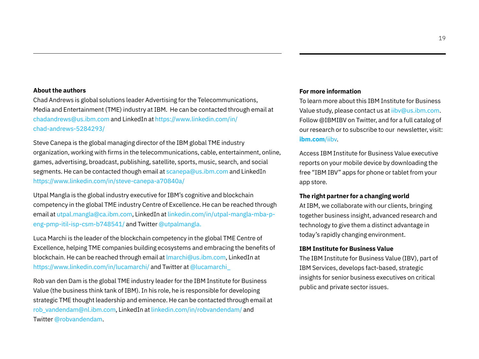#### **About the authors**

Chad Andrews is global solutions leader Advertising for the Telecommunications, Media and Entertainment (TME) industry at IBM. He can be contacted through email at chadandrews@us.ibm.com and LinkedIn at https://www.linkedin.com/in/ chad-andrews-5284293/

Steve Canepa is the global managing director of the IBM global TME industry organization, working with firms in the telecommunications, cable, entertainment, online, games, advertising, broadcast, publishing, satellite, sports, music, search, and social segments. He can be contacted though email at scanepa@us.ibm.com and LinkedIn https://www.linkedin.com/in/steve-canepa-a70840a/

Utpal Mangla is the global industry executive for IBM's cognitive and blockchain competency in the global TME industry Centre of Excellence. He can be reached through email at utpal.mangla@ca.ibm.com, LinkedIn at linkedin.com/in/utpal-mangla-mba-peng-pmp-itil-isp-csm-b748541/ and Twitter @utpalmangla.

Luca Marchi is the leader of the blockchain competency in the global TME Centre of Excellence, helping TME companies building ecosystems and embracing the benefits of blockchain. He can be reached through email at lmarchi@us.ibm.com, LinkedIn at https://www.linkedin.com/in/lucamarchi/ and Twitter at @lucamarchi\_

Rob van den Dam is the global TME industry leader for the IBM Institute for Business Value (the business think tank of IBM). In his role, he is responsible for developing strategic TME thought leadership and eminence. He can be contacted through email at rob\_vandendam@nl.ibm.com, LinkedIn at [linkedin.com/in/robvandendam/](http://www.linkedin.com/in/robvandendam/) and Twitter @robvandendam.

#### **For more information**

To learn more about this IBM Institute for Business Value study, please contact us at [iibv@us.ibm.com](mailto:iibv@us.ibm.com). Follow @IBMIBV on Twitter, and for a full catalog of our research or to subscribe to our newsletter, visit: **[ibm.com](ibm.com/iibv)**/iibv.

Access IBM Institute for Business Value executive reports on your mobile device by downloading the free "IBM IBV" apps for phone or tablet from your app store.

#### **The right partner for a changing world**

At IBM, we collaborate with our clients, bringing together business insight, advanced research and technology to give them a distinct advantage in today's rapidly changing environment.

#### **IBM Institute for Business Value**

The IBM Institute for Business Value (IBV), part of IBM Services, develops fact-based, strategic insights for senior business executives on critical public and private sector issues.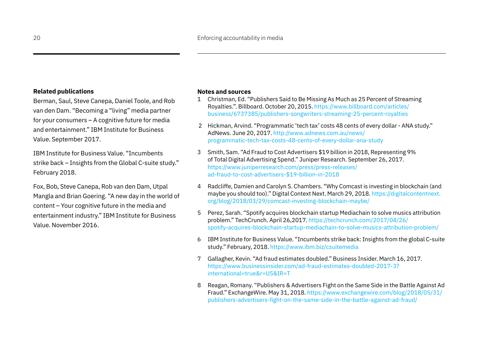#### **Related publications**

Berman, Saul, Steve Canepa, Daniel Toole, and Rob van den Dam. "Becoming a "living" media partner for your consumers – A cognitive future for media and entertainment." IBM Institute for Business Value. September 2017.

IBM Institute for Business Value. "Incumbents strike back – Insights from the Global C-suite study." February 2018.

Fox, Bob, Steve Canepa, Rob van den Dam, Utpal Mangla and Brian Goering. "A new day in the world of content – Your cognitive future in the media and entertainment industry." IBM Institute for Business Value. November 2016.

#### **Notes and sources**

- 1 Christman, Ed. "Publishers Said to Be Missing As Much as 25 Percent of Streaming Royalties.". Billboard. October 20, 2015. [https://www.billboard.com/articles/](https://www.billboard.com/articles/business/6737385/publishers-songwriters-streaming-25-percent-royalties) [business/6737385/publishers-songwriters-streaming-25-percent-royalties](https://www.billboard.com/articles/business/6737385/publishers-songwriters-streaming-25-percent-royalties)
- 2 Hickman, Arvind. "Programmatic 'tech tax' costs 48 cents of every dollar ANA study." AdNews. June 20, 2017. [http://www.adnews.com.au/news/](http://www.adnews.com.au/news/programmatic-tech-tax-costs-48-cents-of-every-dollar-ana-study) [programmatic-tech-tax-costs-48-cents-of-every-dollar-ana-study](http://www.adnews.com.au/news/programmatic-tech-tax-costs-48-cents-of-every-dollar-ana-study)
- 3 Smith, Sam. "Ad Fraud to Cost Advertisers \$19 billion in 2018, Representing 9% of Total Digital Advertising Spend." Juniper Research. September 26, 2017. [https://www.juniperresearch.com/press/press-releases/](https://www.juniperresearch.com/press/press-releases/ad-fraud-to-cost-advertisers-$19-billion-in-2018) [ad-fraud-to-cost-advertisers-\\$19-billion-in-2018](https://www.juniperresearch.com/press/press-releases/ad-fraud-to-cost-advertisers-$19-billion-in-2018)
- 4 Radcliffe, Damien and Carolyn S. Chambers. "Why Comcast is investing in blockchain (and maybe you should too)." Digital Context Next. March 29, 2018. [https://digitalcontentnext.](https://digitalcontentnext.org/blog/2018/03/29/comcast-investing-blockchain-maybe/) [org/blog/2018/03/29/comcast-investing-blockchain-maybe/](https://digitalcontentnext.org/blog/2018/03/29/comcast-investing-blockchain-maybe/)
- 5 Perez, Sarah. "Spotify acquires blockchain startup Mediachain to solve musics attribution problem." TechCrunch. April 26,2017. [https://techcrunch.com/2017/04/26/](https://techcrunch.com/2017/04/26/spotify-acquires-blockchain-startup-mediachain-to-solve-musics-attribution-problem/) [spotify-acquires-blockchain-startup-mediachain-to-solve-musics-attribution-problem/](https://techcrunch.com/2017/04/26/spotify-acquires-blockchain-startup-mediachain-to-solve-musics-attribution-problem/)
- 6 IBM Institute for Business Value. "Incumbents strike back: Insights from the global C-suite study." February, 2018. <https://www.ibm.biz/csuitemedia>
- 7 Gallagher, Kevin. "Ad fraud estimates doubled." Business Insider. March 16, 2017. [https://www.businessinsider.com/ad-fraud-estimates-doubled-2017-3?](https://www.businessinsider.com/ad-fraud-estimates-doubled-2017-3?international=true&r=US&IR=T) [international=true&r=US&IR=T](https://www.businessinsider.com/ad-fraud-estimates-doubled-2017-3?international=true&r=US&IR=T)
- 8 Reagan, Romany. "Publishers & Advertisers Fight on the Same Side in the Battle Against Ad Fraud." ExchangeWire. May 31, 2018. [https://www.exchangewire.com/blog/2018/05/31/](https://www.exchangewire.com/blog/2018/05/31/publishers-advertisers-fight-on-the-same-side-in-the-battle-against-ad-fraud/) [publishers-advertisers-fight-on-the-same-side-in-the-battle-against-ad-fraud/](https://www.exchangewire.com/blog/2018/05/31/publishers-advertisers-fight-on-the-same-side-in-the-battle-against-ad-fraud/)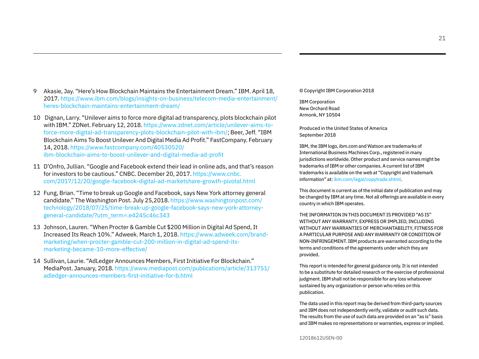21

- 9 Akasie, Jay. "Here's How Blockchain Maintains the Entertainment Dream." IBM. April 18, 2017. [https://www.ibm.com/blogs/insights-on-business/telecom-media-entertainment/](https://www.ibm.com/blogs/insights-on-business/telecom-media-entertainment/heres-blockchain-maintains-entertainment-dream/) [heres-blockchain-maintains-entertainment-dream/](https://www.ibm.com/blogs/insights-on-business/telecom-media-entertainment/heres-blockchain-maintains-entertainment-dream/)
- 10 Dignan, Larry. "Unilever aims to force more digital ad transparency, plots blockchain pilot with IBM." ZDNet. February 12, 2018. [https://www.zdnet.com/article/unilever-aims-to](https://www.zdnet.com/article/unilever-aims-to-force-more-digital-ad-transparency-plots-blockchain-pilot-with-ibm/)[force-more-digital-ad-transparency-plots-blockchain-pilot-with-ibm/;](https://www.zdnet.com/article/unilever-aims-to-force-more-digital-ad-transparency-plots-blockchain-pilot-with-ibm/) Beer, Jeff. "IBM Blockchain Aims To Boost Unilever And Digital Media Ad Profit." FastCompany. February 14, 2018. [https://www.fastcompany.com/40530520/](https://www.fastcompany.com/40530520/ibm-blockchain-aims-to-boost-unilever-and-digital-media-ad-profit) [ibm-blockchain-aims-to-boost-unilever-and-digital-media-ad-profit](https://www.fastcompany.com/40530520/ibm-blockchain-aims-to-boost-unilever-and-digital-media-ad-profit)
- 11 D'Onfro, Jullian. "Google and Facebook extend their lead in online ads, and that's reason for investors to be cautious." CNBC. December 20, 2017. [https://www.cnbc.](https://www.cnbc.com/2017/12/20/google-facebook-digital-ad-marketshare-growth-pivotal.html) [com/2017/12/20/google-facebook-digital-ad-marketshare-growth-pivotal.html](https://www.cnbc.com/2017/12/20/google-facebook-digital-ad-marketshare-growth-pivotal.html)
- 12 Fung, Brian. "Time to break up Google and Facebook, says New York attorney general candidate." The Washington Post. July 25,2018. [https://www.washingtonpost.com/](https://www.washingtonpost.com/technology/2018/07/25/time-break-up-google-facebook-says-new-york-attorney-general-candidate/?utm_term=.e4245c46c343) [technology/2018/07/25/time-break-up-google-facebook-says-new-york-attorney](https://www.washingtonpost.com/technology/2018/07/25/time-break-up-google-facebook-says-new-york-attorney-general-candidate/?utm_term=.e4245c46c343)[general-candidate/?utm\\_term=.e4245c46c343](https://www.washingtonpost.com/technology/2018/07/25/time-break-up-google-facebook-says-new-york-attorney-general-candidate/?utm_term=.e4245c46c343)
- 13 Johnson, Lauren. "When Procter & Gamble Cut \$200 Million in Digital Ad Spend, It Increased Its Reach 10%." Adweek. March 1, 2018. [https://www.adweek.com/brand](https://www.adweek.com/brand-marketing/when-procter-gamble-cut-200-million-in-digital-ad-spend-its-marketing-became-10-more-effective/)[marketing/when-procter-gamble-cut-200-million-in-digital-ad-spend-its](https://www.adweek.com/brand-marketing/when-procter-gamble-cut-200-million-in-digital-ad-spend-its-marketing-became-10-more-effective/)[marketing-became-10-more-effective/](https://www.adweek.com/brand-marketing/when-procter-gamble-cut-200-million-in-digital-ad-spend-its-marketing-became-10-more-effective/)
- 14 Sullivan, Laurie. "AdLedger Announces Members, First Initiative For Blockchain." MediaPost. January, 2018. [https://www.mediapost.com/publications/article/313751/](https://www.mediapost.com/publications/article/313751/adledger-announces-members-first-initiative-for-b.html) [adledger-announces-members-first-initiative-for-b.html](https://www.mediapost.com/publications/article/313751/adledger-announces-members-first-initiative-for-b.html)

© Copyright IBM Corporation 2018

IBM Corporation New Orchard Road Armonk, NY 10504

Produced in the United States of America September 2018

IBM, the IBM logo,<ibm.com>and Watson are trademarks of International Business Machines Corp., registered in many jurisdictions worldwide. Other product and service names might be trademarks of IBM or other companies. A current list of IBM trademarks is available on the web at "Copyright and trademark information" at:<ibm.com/legal/copytrade.shtml>.

This document is current as of the initial date of publication and may be changed by IBM at any time. Not all offerings are available in every country in which IBM operates.

THE INFORMATION IN THIS DOCUMENT IS PROVIDED "AS IS" WITHOUT ANY WARRANTY, EXPRESS OR IMPLIED, INCLUDING WITHOUT ANY WARRANTIES OF MERCHANTABILITY, FITNESS FOR A PARTICULAR PURPOSE AND ANY WARRANTY OR CONDITION OF NON-INFRINGEMENT. IBM products are warranted according to the terms and conditions of the agreements under which they are provided.

This report is intended for general guidance only. It is not intended to be a substitute for detailed research or the exercise of professional judgment. IBM shall not be responsible for any loss whatsoever sustained by any organization or person who relies on this publication.

The data used in this report may be derived from third-party sources and IBM does not independently verify, validate or audit such data. The results from the use of such data are provided on an "as is" basis and IBM makes no representations or warranties, express or implied.